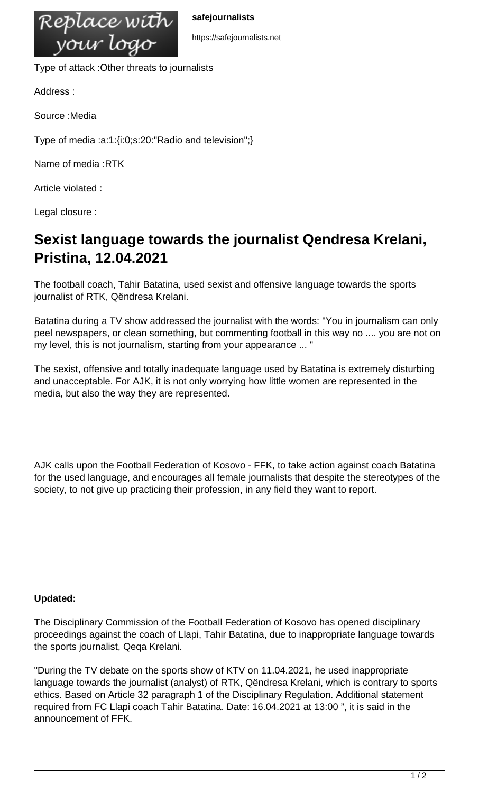

https://safejournalists.net

Type of attack :Other threats to journalists

Address :

Source :Media

Type of media :a:1:{i:0;s:20:"Radio and television";}

Name of media :RTK

Article violated :

Legal closure :

## **Sexist language towards the journalist Qendresa Krelani, Pristina, 12.04.2021**

The football coach, Tahir Batatina, used sexist and offensive language towards the sports journalist of RTK, Qëndresa Krelani.

Batatina during a TV show addressed the journalist with the words: "You in journalism can only peel newspapers, or clean something, but commenting football in this way no .... you are not on my level, this is not journalism, starting from your appearance ... "

The sexist, offensive and totally inadequate language used by Batatina is extremely disturbing and unacceptable. For AJK, it is not only worrying how little women are represented in the media, but also the way they are represented.

AJK calls upon the Football Federation of Kosovo - FFK, to take action against coach Batatina for the used language, and encourages all female journalists that despite the stereotypes of the society, to not give up practicing their profession, in any field they want to report.

## **Updated:**

The Disciplinary Commission of the Football Federation of Kosovo has opened disciplinary proceedings against the coach of Llapi, Tahir Batatina, due to inappropriate language towards the sports journalist, Qeqa Krelani.

"During the TV debate on the sports show of KTV on 11.04.2021, he used inappropriate language towards the journalist (analyst) of RTK, Qëndresa Krelani, which is contrary to sports ethics. Based on Article 32 paragraph 1 of the Disciplinary Regulation. Additional statement required from FC Llapi coach Tahir Batatina. Date: 16.04.2021 at 13:00 ", it is said in the announcement of FFK.